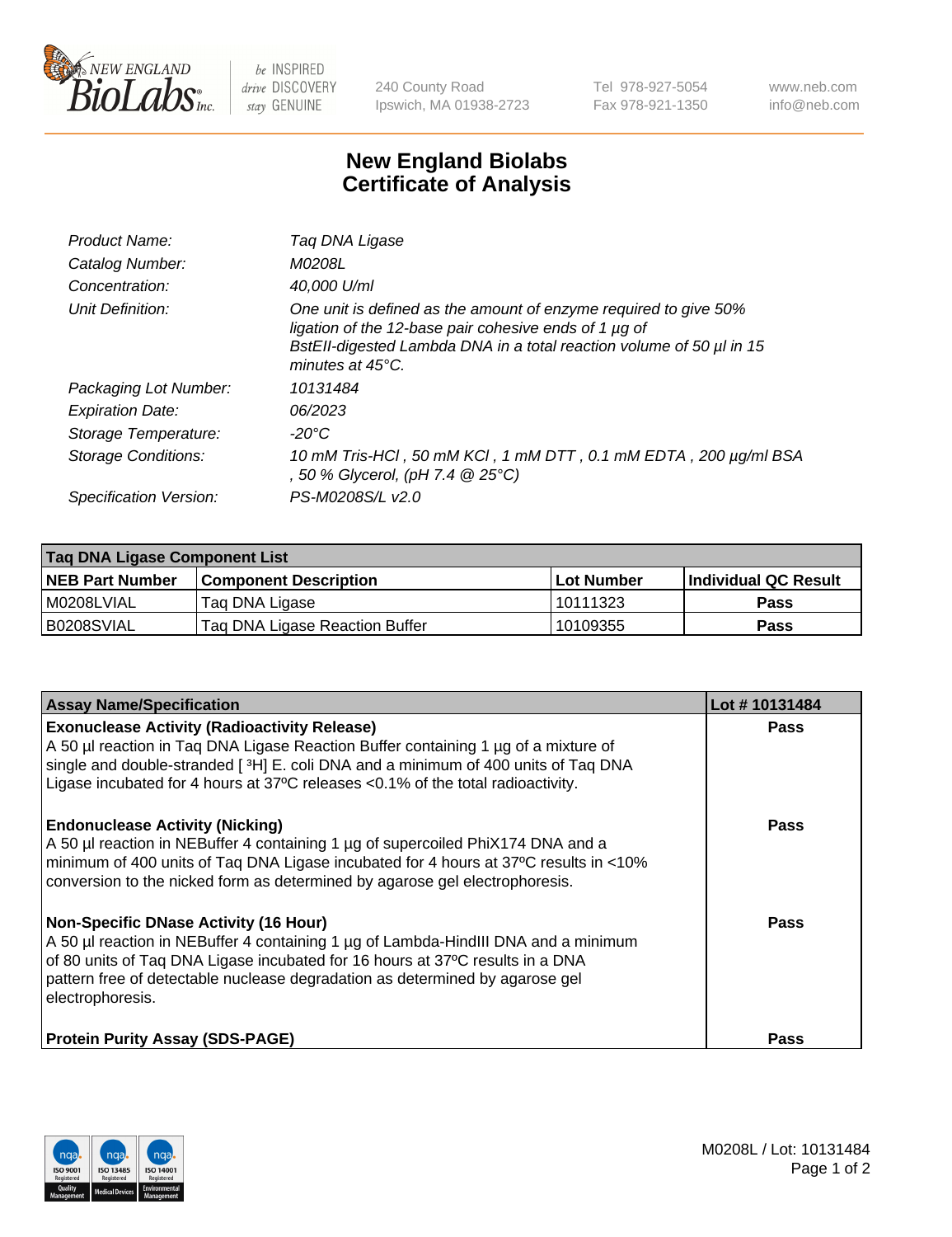

 $be$  INSPIRED drive DISCOVERY stay GENUINE

240 County Road Ipswich, MA 01938-2723 Tel 978-927-5054 Fax 978-921-1350 www.neb.com info@neb.com

## **New England Biolabs Certificate of Analysis**

| Product Name:              | Tag DNA Ligase                                                                                                                                                                                                                  |
|----------------------------|---------------------------------------------------------------------------------------------------------------------------------------------------------------------------------------------------------------------------------|
| Catalog Number:            | M0208L                                                                                                                                                                                                                          |
| Concentration:             | 40.000 U/ml                                                                                                                                                                                                                     |
| Unit Definition:           | One unit is defined as the amount of enzyme required to give 50%<br>ligation of the 12-base pair cohesive ends of 1 µg of<br>BstEll-digested Lambda DNA in a total reaction volume of 50 µl in 15<br>minutes at $45^{\circ}$ C. |
| Packaging Lot Number:      | 10131484                                                                                                                                                                                                                        |
| <b>Expiration Date:</b>    | 06/2023                                                                                                                                                                                                                         |
| Storage Temperature:       | $-20^{\circ}$ C                                                                                                                                                                                                                 |
| <b>Storage Conditions:</b> | 10 mM Tris-HCl, 50 mM KCl, 1 mM DTT, 0.1 mM EDTA, 200 µg/ml BSA<br>, 50 % Glycerol, (pH 7.4 $@25°C$ )                                                                                                                           |
| Specification Version:     | PS-M0208S/L v2.0                                                                                                                                                                                                                |

| Taq DNA Ligase Component List |                                |            |                      |  |
|-------------------------------|--------------------------------|------------|----------------------|--|
| <b>NEB Part Number</b>        | <b>Component Description</b>   | Lot Number | Individual QC Result |  |
| M0208LVIAL                    | Tag DNA Ligase                 | 10111323   | <b>Pass</b>          |  |
| B0208SVIAL                    | Taq DNA Ligase Reaction Buffer | 10109355   | Pass                 |  |

| <b>Assay Name/Specification</b>                                                                                                                                                                                                                                                                                         | Lot #10131484 |
|-------------------------------------------------------------------------------------------------------------------------------------------------------------------------------------------------------------------------------------------------------------------------------------------------------------------------|---------------|
| <b>Exonuclease Activity (Radioactivity Release)</b><br>A 50 µl reaction in Taq DNA Ligase Reaction Buffer containing 1 µg of a mixture of<br>single and double-stranded [3H] E. coli DNA and a minimum of 400 units of Taq DNA<br>Ligase incubated for 4 hours at 37°C releases <0.1% of the total radioactivity.       | <b>Pass</b>   |
| <b>Endonuclease Activity (Nicking)</b><br>A 50 µl reaction in NEBuffer 4 containing 1 µg of supercoiled PhiX174 DNA and a<br>minimum of 400 units of Taq DNA Ligase incubated for 4 hours at 37°C results in <10%<br>conversion to the nicked form as determined by agarose gel electrophoresis.                        | Pass          |
| <b>Non-Specific DNase Activity (16 Hour)</b><br>A 50 µl reaction in NEBuffer 4 containing 1 µg of Lambda-HindIII DNA and a minimum<br>of 80 units of Taq DNA Ligase incubated for 16 hours at 37°C results in a DNA<br>pattern free of detectable nuclease degradation as determined by agarose gel<br>electrophoresis. | Pass          |
| <b>Protein Purity Assay (SDS-PAGE)</b>                                                                                                                                                                                                                                                                                  | Pass          |